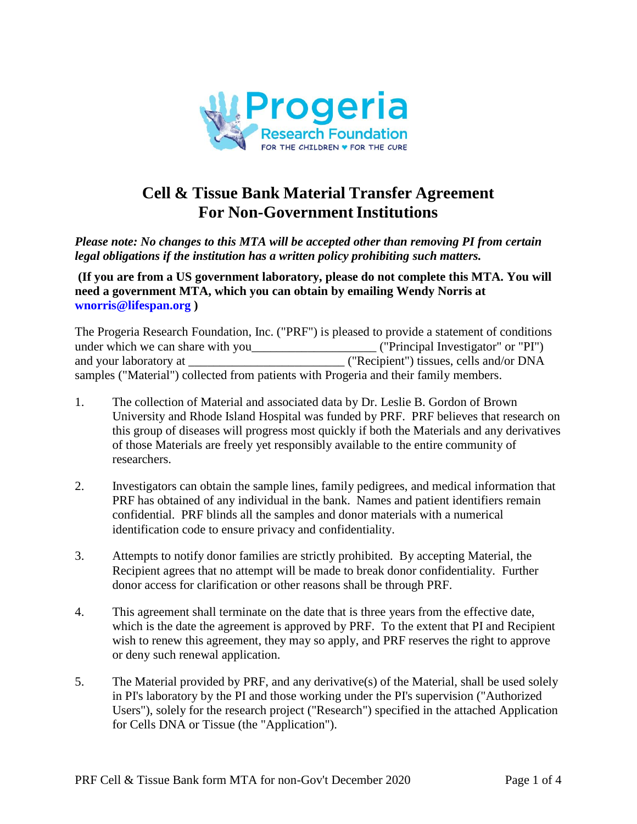

# **Cell & Tissue Bank Material Transfer Agreement For Non-Government Institutions**

*Please note: No changes to this MTA will be accepted other than removing PI from certain legal obligations if the institution has a written policy prohibiting such matters.* 

**(If you are from a US government laboratory, please do not complete this MTA. You will need a government MTA, which you can obtain by emailing Wendy Norris at [wnorris@lifespan.org](mailto:Joan_Brazier@brown.edu) )** 

The Progeria Research Foundation, Inc. ("PRF") is pleased to provide a statement of conditions under which we can share with you\_\_\_\_\_\_\_\_\_\_\_\_\_\_\_\_\_\_\_\_ ("Principal Investigator" or "PI") and your laboratory at \_\_\_\_\_\_\_\_\_\_\_\_\_\_\_\_\_\_\_\_\_\_\_\_\_ ("Recipient") tissues, cells and/or DNA samples ("Material") collected from patients with Progeria and their family members.

- 1. The collection of Material and associated data by Dr. Leslie B. Gordon of Brown University and Rhode Island Hospital was funded by PRF. PRF believes that research on this group of diseases will progress most quickly if both the Materials and any derivatives of those Materials are freely yet responsibly available to the entire community of researchers.
- 2. Investigators can obtain the sample lines, family pedigrees, and medical information that PRF has obtained of any individual in the bank. Names and patient identifiers remain confidential. PRF blinds all the samples and donor materials with a numerical identification code to ensure privacy and confidentiality.
- 3. Attempts to notify donor families are strictly prohibited. By accepting Material, the Recipient agrees that no attempt will be made to break donor confidentiality. Further donor access for clarification or other reasons shall be through PRF.
- 4. This agreement shall terminate on the date that is three years from the effective date, which is the date the agreement is approved by PRF. To the extent that PI and Recipient wish to renew this agreement, they may so apply, and PRF reserves the right to approve or deny such renewal application.
- 5. The Material provided by PRF, and any derivative(s) of the Material, shall be used solely in PI's laboratory by the PI and those working under the PI's supervision ("Authorized Users"), solely for the research project ("Research") specified in the attached Application for Cells DNA or Tissue (the "Application").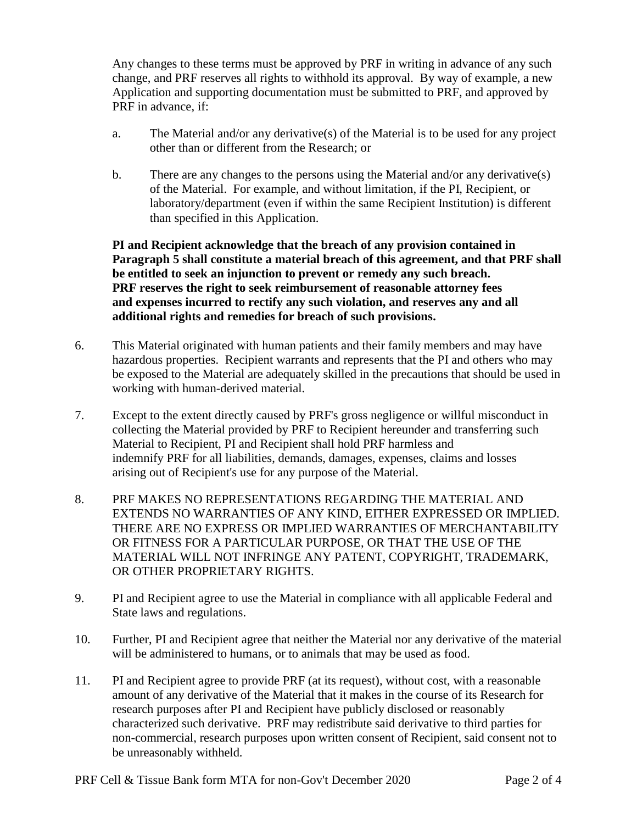Any changes to these terms must be approved by PRF in writing in advance of any such change, and PRF reserves all rights to withhold its approval. By way of example, a new Application and supporting documentation must be submitted to PRF, and approved by PRF in advance, if:

- a. The Material and/or any derivative(s) of the Material is to be used for any project other than or different from the Research; or
- b. There are any changes to the persons using the Material and/or any derivative(s) of the Material. For example, and without limitation, if the PI, Recipient, or laboratory/department (even if within the same Recipient Institution) is different than specified in this Application.

**PI and Recipient acknowledge that the breach of any provision contained in Paragraph 5 shall constitute a material breach of this agreement, and that PRF shall be entitled to seek an injunction to prevent or remedy any such breach. PRF reserves the right to seek reimbursement of reasonable attorney fees and expenses incurred to rectify any such violation, and reserves any and all additional rights and remedies for breach of such provisions.**

- 6. This Material originated with human patients and their family members and may have hazardous properties. Recipient warrants and represents that the PI and others who may be exposed to the Material are adequately skilled in the precautions that should be used in working with human-derived material.
- 7. Except to the extent directly caused by PRF's gross negligence or willful misconduct in collecting the Material provided by PRF to Recipient hereunder and transferring such Material to Recipient, PI and Recipient shall hold PRF harmless and indemnify PRF for all liabilities, demands, damages, expenses, claims and losses arising out of Recipient's use for any purpose of the Material.
- 8. PRF MAKES NO REPRESENTATIONS REGARDING THE MATERIAL AND EXTENDS NO WARRANTIES OF ANY KIND, EITHER EXPRESSED OR IMPLIED. THERE ARE NO EXPRESS OR IMPLIED WARRANTIES OF MERCHANTABILITY OR FITNESS FOR A PARTICULAR PURPOSE, OR THAT THE USE OF THE MATERIAL WILL NOT INFRINGE ANY PATENT, COPYRIGHT, TRADEMARK, OR OTHER PROPRIETARY RIGHTS.
- 9. PI and Recipient agree to use the Material in compliance with all applicable Federal and State laws and regulations.
- 10. Further, PI and Recipient agree that neither the Material nor any derivative of the material will be administered to humans, or to animals that may be used as food.
- 11. PI and Recipient agree to provide PRF (at its request), without cost, with a reasonable amount of any derivative of the Material that it makes in the course of its Research for research purposes after PI and Recipient have publicly disclosed or reasonably characterized such derivative. PRF may redistribute said derivative to third parties for non-commercial, research purposes upon written consent of Recipient, said consent not to be unreasonably withheld.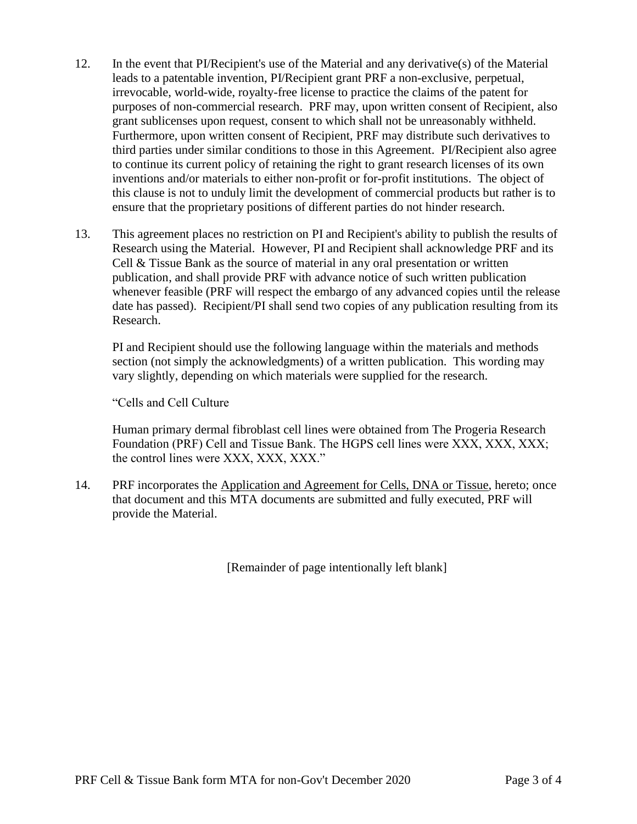- 12. In the event that PI/Recipient's use of the Material and any derivative(s) of the Material leads to a patentable invention, PI/Recipient grant PRF a non-exclusive, perpetual, irrevocable, world-wide, royalty-free license to practice the claims of the patent for purposes of non-commercial research. PRF may, upon written consent of Recipient, also grant sublicenses upon request, consent to which shall not be unreasonably withheld. Furthermore, upon written consent of Recipient, PRF may distribute such derivatives to third parties under similar conditions to those in this Agreement. PI/Recipient also agree to continue its current policy of retaining the right to grant research licenses of its own inventions and/or materials to either non-profit or for-profit institutions. The object of this clause is not to unduly limit the development of commercial products but rather is to ensure that the proprietary positions of different parties do not hinder research.
- 13. This agreement places no restriction on PI and Recipient's ability to publish the results of Research using the Material. However, PI and Recipient shall acknowledge PRF and its Cell & Tissue Bank as the source of material in any oral presentation or written publication, and shall provide PRF with advance notice of such written publication whenever feasible (PRF will respect the embargo of any advanced copies until the release date has passed). Recipient/PI shall send two copies of any publication resulting from its Research.

PI and Recipient should use the following language within the materials and methods section (not simply the acknowledgments) of a written publication. This wording may vary slightly, depending on which materials were supplied for the research.

"Cells and Cell Culture

Human primary dermal fibroblast cell lines were obtained from The Progeria Research Foundation (PRF) Cell and Tissue Bank. The HGPS cell lines were XXX, XXX, XXX; the control lines were XXX, XXX, XXX."

14. PRF incorporates the Application and Agreement for Cells, DNA or Tissue, hereto; once that document and this MTA documents are submitted and fully executed, PRF will provide the Material.

[Remainder of page intentionally left blank]